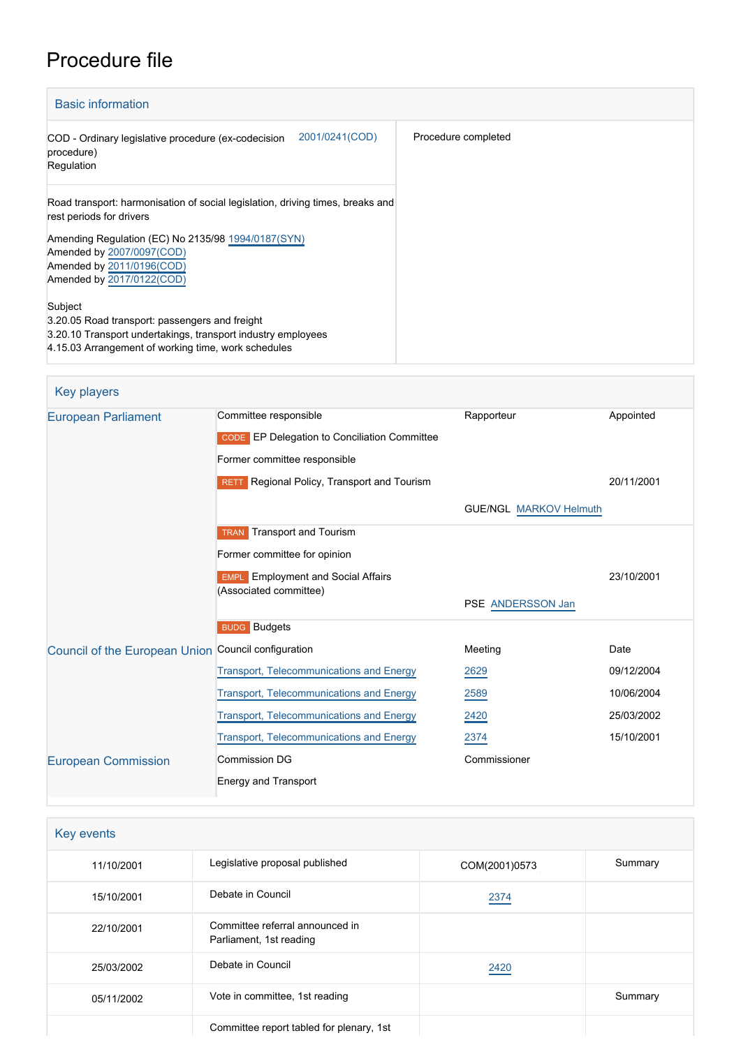# Procedure file

| <b>Basic information</b>                                                                                                                                                                                                                                |                     |
|---------------------------------------------------------------------------------------------------------------------------------------------------------------------------------------------------------------------------------------------------------|---------------------|
| 2001/0241(COD)<br>COD - Ordinary legislative procedure (ex-codecision<br>procedure)<br>Regulation                                                                                                                                                       | Procedure completed |
| Road transport: harmonisation of social legislation, driving times, breaks and<br>rest periods for drivers<br>Amending Regulation (EC) No 2135/98 1994/0187(SYN)<br>Amended by 2007/0097(COD)<br>Amended by 2011/0196(COD)<br>Amended by 2017/0122(COD) |                     |
| Subject<br>3.20.05 Road transport: passengers and freight<br>3.20.10 Transport undertakings, transport industry employees<br>4.15.03 Arrangement of working time, work schedules                                                                        |                     |

| <b>Key players</b>                                  |                                                                                                       |                               |            |
|-----------------------------------------------------|-------------------------------------------------------------------------------------------------------|-------------------------------|------------|
| <b>European Parliament</b>                          | Committee responsible<br>CODE EP Delegation to Conciliation Committee<br>Former committee responsible | Rapporteur                    | Appointed  |
|                                                     | RETT Regional Policy, Transport and Tourism                                                           |                               | 20/11/2001 |
|                                                     |                                                                                                       | <b>GUE/NGL MARKOV Helmuth</b> |            |
|                                                     | <b>TRAN</b> Transport and Tourism<br>Former committee for opinion                                     |                               |            |
|                                                     | <b>EMPL</b> Employment and Social Affairs<br>(Associated committee)                                   |                               | 23/10/2001 |
|                                                     |                                                                                                       | PSE ANDERSSON Jan             |            |
|                                                     | <b>BUDG</b> Budgets                                                                                   |                               |            |
| Council of the European Union Council configuration |                                                                                                       | Meeting                       | Date       |
|                                                     | <b>Transport, Telecommunications and Energy</b>                                                       | 2629                          | 09/12/2004 |
|                                                     | <b>Transport, Telecommunications and Energy</b>                                                       | 2589                          | 10/06/2004 |
|                                                     | <b>Transport, Telecommunications and Energy</b>                                                       | 2420                          | 25/03/2002 |
|                                                     | <b>Transport, Telecommunications and Energy</b>                                                       | 2374                          | 15/10/2001 |
| <b>European Commission</b>                          | <b>Commission DG</b>                                                                                  | Commissioner                  |            |
|                                                     | <b>Energy and Transport</b>                                                                           |                               |            |

| Key events |                                                            |               |         |  |  |
|------------|------------------------------------------------------------|---------------|---------|--|--|
| 11/10/2001 | Legislative proposal published                             | COM(2001)0573 | Summary |  |  |
| 15/10/2001 | Debate in Council                                          | 2374          |         |  |  |
| 22/10/2001 | Committee referral announced in<br>Parliament, 1st reading |               |         |  |  |
| 25/03/2002 | Debate in Council                                          | 2420          |         |  |  |
| 05/11/2002 | Vote in committee, 1st reading                             |               | Summary |  |  |
|            | Committee report tabled for plenary, 1st                   |               |         |  |  |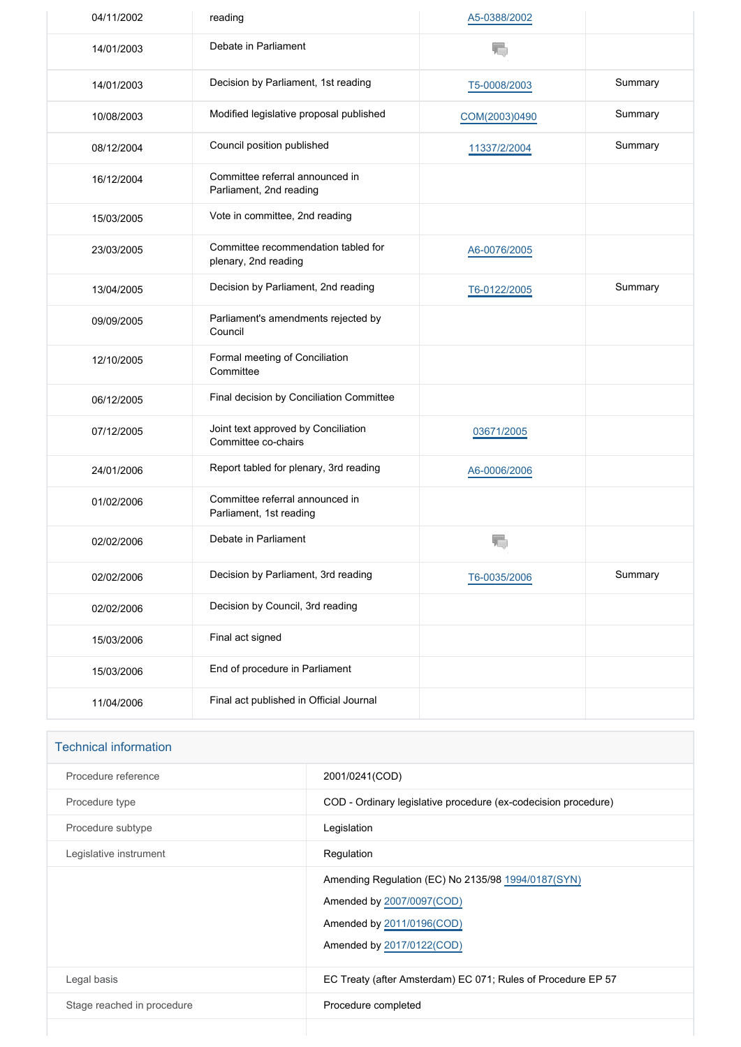| 04/11/2002 | reading                                                     | A5-0388/2002  |         |
|------------|-------------------------------------------------------------|---------------|---------|
| 14/01/2003 | Debate in Parliament                                        | 宿             |         |
| 14/01/2003 | Decision by Parliament, 1st reading                         | T5-0008/2003  | Summary |
| 10/08/2003 | Modified legislative proposal published                     | COM(2003)0490 | Summary |
| 08/12/2004 | Council position published                                  | 11337/2/2004  | Summary |
| 16/12/2004 | Committee referral announced in<br>Parliament, 2nd reading  |               |         |
| 15/03/2005 | Vote in committee, 2nd reading                              |               |         |
| 23/03/2005 | Committee recommendation tabled for<br>plenary, 2nd reading | A6-0076/2005  |         |
| 13/04/2005 | Decision by Parliament, 2nd reading                         | T6-0122/2005  | Summary |
| 09/09/2005 | Parliament's amendments rejected by<br>Council              |               |         |
| 12/10/2005 | Formal meeting of Conciliation<br>Committee                 |               |         |
| 06/12/2005 | Final decision by Conciliation Committee                    |               |         |
| 07/12/2005 | Joint text approved by Conciliation<br>Committee co-chairs  | 03671/2005    |         |
| 24/01/2006 | Report tabled for plenary, 3rd reading                      | A6-0006/2006  |         |
| 01/02/2006 | Committee referral announced in<br>Parliament, 1st reading  |               |         |
| 02/02/2006 | Debate in Parliament                                        |               |         |
| 02/02/2006 | Decision by Parliament, 3rd reading                         | T6-0035/2006  | Summary |
| 02/02/2006 | Decision by Council, 3rd reading                            |               |         |
| 15/03/2006 | Final act signed                                            |               |         |
| 15/03/2006 | End of procedure in Parliament                              |               |         |
| 11/04/2006 | Final act published in Official Journal                     |               |         |

| <b>Technical information</b> |                                                                                                                                           |
|------------------------------|-------------------------------------------------------------------------------------------------------------------------------------------|
| Procedure reference          | 2001/0241(COD)                                                                                                                            |
| Procedure type               | COD - Ordinary legislative procedure (ex-codecision procedure)                                                                            |
| Procedure subtype            | Legislation                                                                                                                               |
| Legislative instrument       | Regulation                                                                                                                                |
|                              | Amending Regulation (EC) No 2135/98 1994/0187(SYN)<br>Amended by 2007/0097(COD)<br>Amended by 2011/0196(COD)<br>Amended by 2017/0122(COD) |
| Legal basis                  | EC Treaty (after Amsterdam) EC 071; Rules of Procedure EP 57                                                                              |
| Stage reached in procedure   | Procedure completed                                                                                                                       |
|                              |                                                                                                                                           |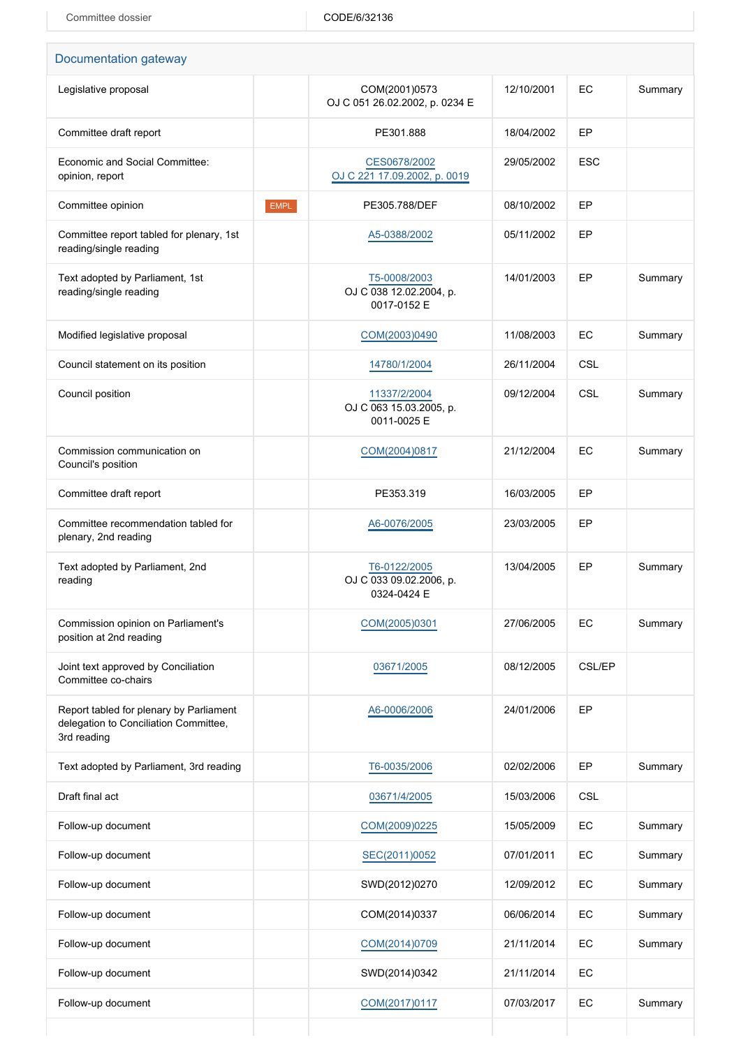| Documentation gateway                                                                           |             |                                                        |            |            |         |
|-------------------------------------------------------------------------------------------------|-------------|--------------------------------------------------------|------------|------------|---------|
| Legislative proposal                                                                            |             | COM(2001)0573<br>OJ C 051 26.02.2002, p. 0234 E        | 12/10/2001 | EС         | Summary |
| Committee draft report                                                                          |             | PE301.888                                              | 18/04/2002 | EP         |         |
| Economic and Social Committee:<br>opinion, report                                               |             | CES0678/2002<br>OJ C 221 17.09.2002, p. 0019           | 29/05/2002 | <b>ESC</b> |         |
| Committee opinion                                                                               | <b>EMPL</b> | PE305.788/DEF                                          | 08/10/2002 | EP         |         |
| Committee report tabled for plenary, 1st<br>reading/single reading                              |             | A5-0388/2002                                           | 05/11/2002 | EP         |         |
| Text adopted by Parliament, 1st<br>reading/single reading                                       |             | T5-0008/2003<br>OJ C 038 12.02.2004, p.<br>0017-0152 E | 14/01/2003 | EP         | Summary |
| Modified legislative proposal                                                                   |             | COM(2003)0490                                          | 11/08/2003 | EC         | Summary |
| Council statement on its position                                                               |             | 14780/1/2004                                           | 26/11/2004 | <b>CSL</b> |         |
| Council position                                                                                |             | 11337/2/2004<br>OJ C 063 15.03.2005, p.<br>0011-0025 E | 09/12/2004 | <b>CSL</b> | Summary |
| Commission communication on<br>Council's position                                               |             | COM(2004)0817                                          | 21/12/2004 | EC         | Summary |
| Committee draft report                                                                          |             | PE353.319                                              | 16/03/2005 | EP         |         |
| Committee recommendation tabled for<br>plenary, 2nd reading                                     |             | A6-0076/2005                                           | 23/03/2005 | EP         |         |
| Text adopted by Parliament, 2nd<br>reading                                                      |             | T6-0122/2005<br>OJ C 033 09.02.2006, p.<br>0324-0424 E | 13/04/2005 | EP.        | Summary |
| Commission opinion on Parliament's<br>position at 2nd reading                                   |             | COM(2005)0301                                          | 27/06/2005 | EC         | Summary |
| Joint text approved by Conciliation<br>Committee co-chairs                                      |             | 03671/2005                                             | 08/12/2005 | CSL/EP     |         |
| Report tabled for plenary by Parliament<br>delegation to Conciliation Committee,<br>3rd reading |             | A6-0006/2006                                           | 24/01/2006 | EP         |         |
| Text adopted by Parliament, 3rd reading                                                         |             | T6-0035/2006                                           | 02/02/2006 | EP         | Summary |
| Draft final act                                                                                 |             | 03671/4/2005                                           | 15/03/2006 | <b>CSL</b> |         |
| Follow-up document                                                                              |             | COM(2009)0225                                          | 15/05/2009 | EC         | Summary |
| Follow-up document                                                                              |             | SEC(2011)0052                                          | 07/01/2011 | EC         | Summary |
| Follow-up document                                                                              |             | SWD(2012)0270                                          | 12/09/2012 | EC         | Summary |
| Follow-up document                                                                              |             | COM(2014)0337                                          | 06/06/2014 | EC         | Summary |
| Follow-up document                                                                              |             | COM(2014)0709                                          | 21/11/2014 | EC         | Summary |
| Follow-up document                                                                              |             | SWD(2014)0342                                          | 21/11/2014 | EC         |         |
| Follow-up document                                                                              |             | COM(2017)0117                                          | 07/03/2017 | EC         | Summary |
|                                                                                                 |             |                                                        |            |            |         |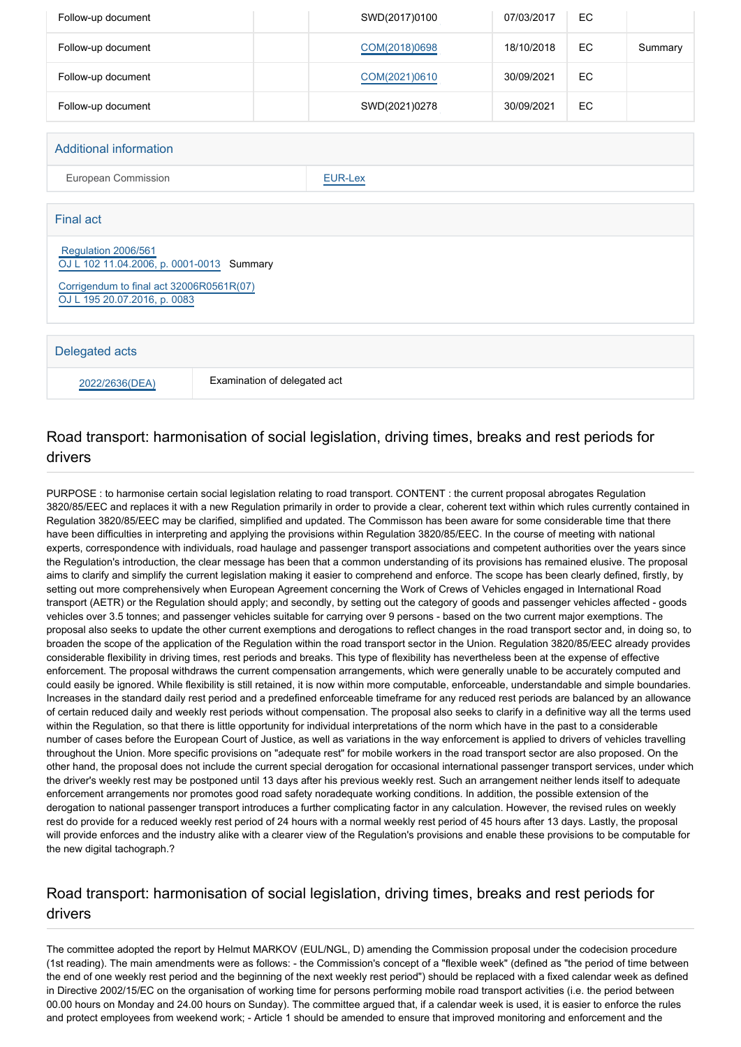| Follow-up document                                                                                                                           |  | SWD(2017)0100 | 07/03/2017 | EC |         |
|----------------------------------------------------------------------------------------------------------------------------------------------|--|---------------|------------|----|---------|
| Follow-up document                                                                                                                           |  | COM(2018)0698 | 18/10/2018 | EC | Summary |
| Follow-up document                                                                                                                           |  | COM(2021)0610 | 30/09/2021 | EC |         |
| Follow-up document                                                                                                                           |  | SWD(2021)0278 | 30/09/2021 | EC |         |
| <b>Additional information</b>                                                                                                                |  |               |            |    |         |
| European Commission<br><b>EUR-Lex</b>                                                                                                        |  |               |            |    |         |
| <b>Final act</b>                                                                                                                             |  |               |            |    |         |
| Regulation 2006/561<br>OJ L 102 11.04.2006, p. 0001-0013 Summary<br>Corrigendum to final act 32006R0561R(07)<br>OJ L 195 20.07.2016, p. 0083 |  |               |            |    |         |
| Delegated acts                                                                                                                               |  |               |            |    |         |
| Examination of delegated act<br>2022/2636(DEA)                                                                                               |  |               |            |    |         |

# Road transport: harmonisation of social legislation, driving times, breaks and rest periods for drivers

PURPOSE : to harmonise certain social legislation relating to road transport. CONTENT : the current proposal abrogates Regulation 3820/85/EEC and replaces it with a new Regulation primarily in order to provide a clear, coherent text within which rules currently contained in Regulation 3820/85/EEC may be clarified, simplified and updated. The Commisson has been aware for some considerable time that there have been difficulties in interpreting and applying the provisions within Regulation 3820/85/EEC. In the course of meeting with national experts, correspondence with individuals, road haulage and passenger transport associations and competent authorities over the years since the Regulation's introduction, the clear message has been that a common understanding of its provisions has remained elusive. The proposal aims to clarify and simplify the current legislation making it easier to comprehend and enforce. The scope has been clearly defined, firstly, by setting out more comprehensively when European Agreement concerning the Work of Crews of Vehicles engaged in International Road transport (AETR) or the Regulation should apply; and secondly, by setting out the category of goods and passenger vehicles affected - goods vehicles over 3.5 tonnes; and passenger vehicles suitable for carrying over 9 persons - based on the two current major exemptions. The proposal also seeks to update the other current exemptions and derogations to reflect changes in the road transport sector and, in doing so, to broaden the scope of the application of the Regulation within the road transport sector in the Union. Regulation 3820/85/EEC already provides considerable flexibility in driving times, rest periods and breaks. This type of flexibility has nevertheless been at the expense of effective enforcement. The proposal withdraws the current compensation arrangements, which were generally unable to be accurately computed and could easily be ignored. While flexibility is still retained, it is now within more computable, enforceable, understandable and simple boundaries. Increases in the standard daily rest period and a predefined enforceable timeframe for any reduced rest periods are balanced by an allowance of certain reduced daily and weekly rest periods without compensation. The proposal also seeks to clarify in a definitive way all the terms used within the Regulation, so that there is little opportunity for individual interpretations of the norm which have in the past to a considerable number of cases before the European Court of Justice, as well as variations in the way enforcement is applied to drivers of vehicles travelling throughout the Union. More specific provisions on "adequate rest" for mobile workers in the road transport sector are also proposed. On the other hand, the proposal does not include the current special derogation for occasional international passenger transport services, under which the driver's weekly rest may be postponed until 13 days after his previous weekly rest. Such an arrangement neither lends itself to adequate enforcement arrangements nor promotes good road safety noradequate working conditions. In addition, the possible extension of the derogation to national passenger transport introduces a further complicating factor in any calculation. However, the revised rules on weekly rest do provide for a reduced weekly rest period of 24 hours with a normal weekly rest period of 45 hours after 13 days. Lastly, the proposal will provide enforces and the industry alike with a clearer view of the Regulation's provisions and enable these provisions to be computable for the new digital tachograph.?

# Road transport: harmonisation of social legislation, driving times, breaks and rest periods for drivers

The committee adopted the report by Helmut MARKOV (EUL/NGL, D) amending the Commission proposal under the codecision procedure (1st reading). The main amendments were as follows: - the Commission's concept of a "flexible week" (defined as "the period of time between the end of one weekly rest period and the beginning of the next weekly rest period") should be replaced with a fixed calendar week as defined in Directive 2002/15/EC on the organisation of working time for persons performing mobile road transport activities (i.e. the period between 00.00 hours on Monday and 24.00 hours on Sunday). The committee argued that, if a calendar week is used, it is easier to enforce the rules and protect employees from weekend work; - Article 1 should be amended to ensure that improved monitoring and enforcement and the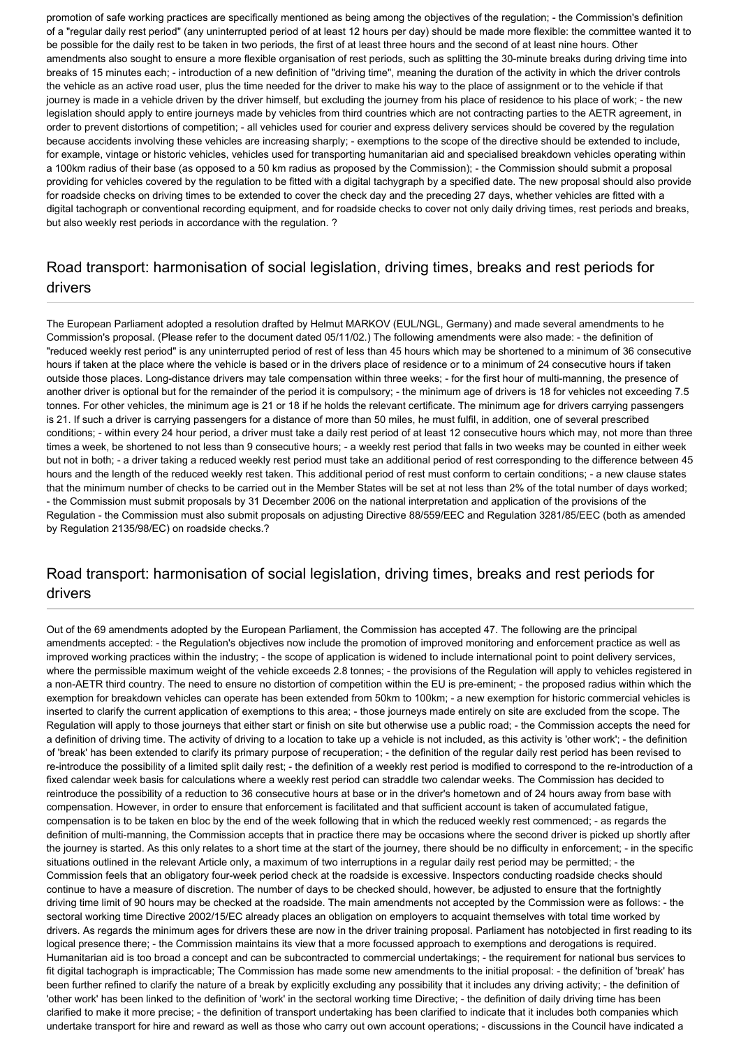promotion of safe working practices are specifically mentioned as being among the objectives of the regulation; - the Commission's definition of a "regular daily rest period" (any uninterrupted period of at least 12 hours per day) should be made more flexible: the committee wanted it to be possible for the daily rest to be taken in two periods, the first of at least three hours and the second of at least nine hours. Other amendments also sought to ensure a more flexible organisation of rest periods, such as splitting the 30-minute breaks during driving time into breaks of 15 minutes each; - introduction of a new definition of "driving time", meaning the duration of the activity in which the driver controls the vehicle as an active road user, plus the time needed for the driver to make his way to the place of assignment or to the vehicle if that journey is made in a vehicle driven by the driver himself, but excluding the journey from his place of residence to his place of work; - the new legislation should apply to entire journeys made by vehicles from third countries which are not contracting parties to the AETR agreement, in order to prevent distortions of competition; - all vehicles used for courier and express delivery services should be covered by the regulation because accidents involving these vehicles are increasing sharply; - exemptions to the scope of the directive should be extended to include, for example, vintage or historic vehicles, vehicles used for transporting humanitarian aid and specialised breakdown vehicles operating within a 100km radius of their base (as opposed to a 50 km radius as proposed by the Commission); - the Commission should submit a proposal providing for vehicles covered by the regulation to be fitted with a digital tachygraph by a specified date. The new proposal should also provide for roadside checks on driving times to be extended to cover the check day and the preceding 27 days, whether vehicles are fitted with a digital tachograph or conventional recording equipment, and for roadside checks to cover not only daily driving times, rest periods and breaks, but also weekly rest periods in accordance with the regulation. ?

# Road transport: harmonisation of social legislation, driving times, breaks and rest periods for drivers

The European Parliament adopted a resolution drafted by Helmut MARKOV (EUL/NGL, Germany) and made several amendments to he Commission's proposal. (Please refer to the document dated 05/11/02.) The following amendments were also made: - the definition of "reduced weekly rest period" is any uninterrupted period of rest of less than 45 hours which may be shortened to a minimum of 36 consecutive hours if taken at the place where the vehicle is based or in the drivers place of residence or to a minimum of 24 consecutive hours if taken outside those places. Long-distance drivers may tale compensation within three weeks; - for the first hour of multi-manning, the presence of another driver is optional but for the remainder of the period it is compulsory; - the minimum age of drivers is 18 for vehicles not exceeding 7.5 tonnes. For other vehicles, the minimum age is 21 or 18 if he holds the relevant certificate. The minimum age for drivers carrying passengers is 21. If such a driver is carrying passengers for a distance of more than 50 miles, he must fulfil, in addition, one of several prescribed conditions; - within every 24 hour period, a driver must take a daily rest period of at least 12 consecutive hours which may, not more than three times a week, be shortened to not less than 9 consecutive hours; - a weekly rest period that falls in two weeks may be counted in either week but not in both; - a driver taking a reduced weekly rest period must take an additional period of rest corresponding to the difference between 45 hours and the length of the reduced weekly rest taken. This additional period of rest must conform to certain conditions; - a new clause states that the minimum number of checks to be carried out in the Member States will be set at not less than 2% of the total number of days worked; - the Commission must submit proposals by 31 December 2006 on the national interpretation and application of the provisions of the Regulation - the Commission must also submit proposals on adjusting Directive 88/559/EEC and Regulation 3281/85/EEC (both as amended by Regulation 2135/98/EC) on roadside checks.?

# Road transport: harmonisation of social legislation, driving times, breaks and rest periods for drivers

Out of the 69 amendments adopted by the European Parliament, the Commission has accepted 47. The following are the principal amendments accepted: - the Regulation's objectives now include the promotion of improved monitoring and enforcement practice as well as improved working practices within the industry; - the scope of application is widened to include international point to point delivery services, where the permissible maximum weight of the vehicle exceeds 2.8 tonnes; - the provisions of the Regulation will apply to vehicles registered in a non-AETR third country. The need to ensure no distortion of competition within the EU is pre-eminent; - the proposed radius within which the exemption for breakdown vehicles can operate has been extended from 50km to 100km; - a new exemption for historic commercial vehicles is inserted to clarify the current application of exemptions to this area; - those journeys made entirely on site are excluded from the scope. The Regulation will apply to those journeys that either start or finish on site but otherwise use a public road; - the Commission accepts the need for a definition of driving time. The activity of driving to a location to take up a vehicle is not included, as this activity is 'other work'; - the definition of 'break' has been extended to clarify its primary purpose of recuperation; - the definition of the regular daily rest period has been revised to re-introduce the possibility of a limited split daily rest; - the definition of a weekly rest period is modified to correspond to the re-introduction of a fixed calendar week basis for calculations where a weekly rest period can straddle two calendar weeks. The Commission has decided to reintroduce the possibility of a reduction to 36 consecutive hours at base or in the driver's hometown and of 24 hours away from base with compensation. However, in order to ensure that enforcement is facilitated and that sufficient account is taken of accumulated fatigue, compensation is to be taken en bloc by the end of the week following that in which the reduced weekly rest commenced; - as regards the definition of multi-manning, the Commission accepts that in practice there may be occasions where the second driver is picked up shortly after the journey is started. As this only relates to a short time at the start of the journey, there should be no difficulty in enforcement; - in the specific situations outlined in the relevant Article only, a maximum of two interruptions in a regular daily rest period may be permitted; - the Commission feels that an obligatory four-week period check at the roadside is excessive. Inspectors conducting roadside checks should continue to have a measure of discretion. The number of days to be checked should, however, be adjusted to ensure that the fortnightly driving time limit of 90 hours may be checked at the roadside. The main amendments not accepted by the Commission were as follows: - the sectoral working time Directive 2002/15/EC already places an obligation on employers to acquaint themselves with total time worked by drivers. As regards the minimum ages for drivers these are now in the driver training proposal. Parliament has notobjected in first reading to its logical presence there; - the Commission maintains its view that a more focussed approach to exemptions and derogations is required. Humanitarian aid is too broad a concept and can be subcontracted to commercial undertakings; - the requirement for national bus services to fit digital tachograph is impracticable; The Commission has made some new amendments to the initial proposal: - the definition of 'break' has been further refined to clarify the nature of a break by explicitly excluding any possibility that it includes any driving activity; - the definition of 'other work' has been linked to the definition of 'work' in the sectoral working time Directive; - the definition of daily driving time has been clarified to make it more precise; - the definition of transport undertaking has been clarified to indicate that it includes both companies which undertake transport for hire and reward as well as those who carry out own account operations; - discussions in the Council have indicated a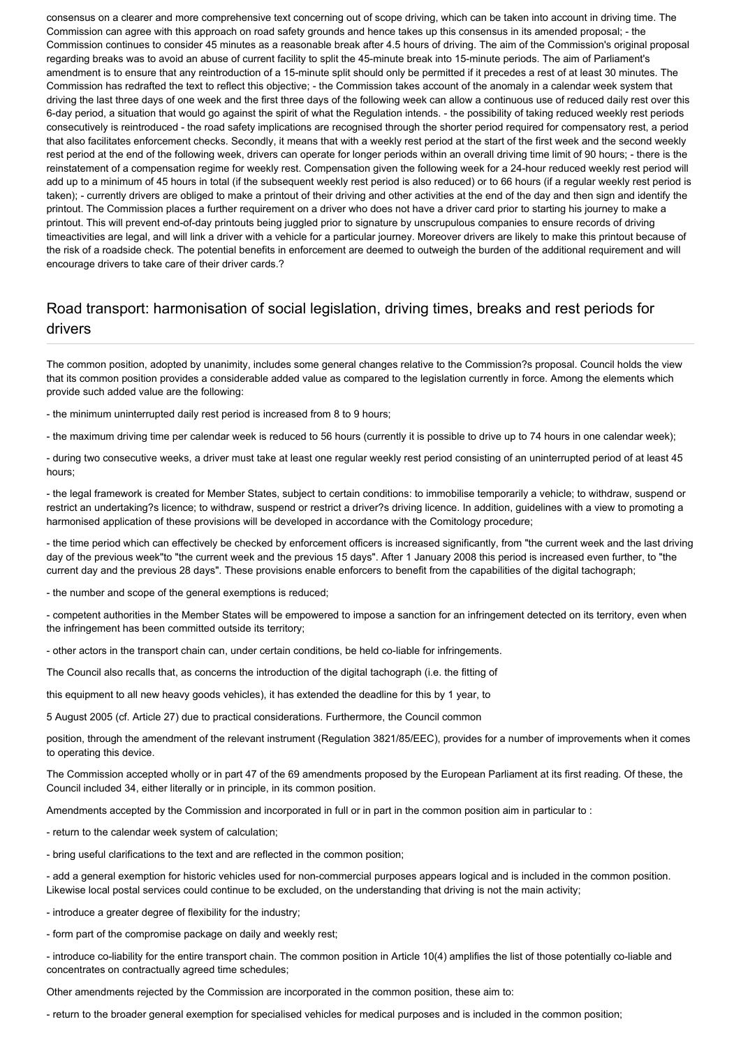consensus on a clearer and more comprehensive text concerning out of scope driving, which can be taken into account in driving time. The Commission can agree with this approach on road safety grounds and hence takes up this consensus in its amended proposal; - the Commission continues to consider 45 minutes as a reasonable break after 4.5 hours of driving. The aim of the Commission's original proposal regarding breaks was to avoid an abuse of current facility to split the 45-minute break into 15-minute periods. The aim of Parliament's amendment is to ensure that any reintroduction of a 15-minute split should only be permitted if it precedes a rest of at least 30 minutes. The Commission has redrafted the text to reflect this objective; - the Commission takes account of the anomaly in a calendar week system that driving the last three days of one week and the first three days of the following week can allow a continuous use of reduced daily rest over this 6-day period, a situation that would go against the spirit of what the Regulation intends. - the possibility of taking reduced weekly rest periods consecutively is reintroduced - the road safety implications are recognised through the shorter period required for compensatory rest, a period that also facilitates enforcement checks. Secondly, it means that with a weekly rest period at the start of the first week and the second weekly rest period at the end of the following week, drivers can operate for longer periods within an overall driving time limit of 90 hours; - there is the reinstatement of a compensation regime for weekly rest. Compensation given the following week for a 24-hour reduced weekly rest period will add up to a minimum of 45 hours in total (if the subsequent weekly rest period is also reduced) or to 66 hours (if a regular weekly rest period is taken); - currently drivers are obliged to make a printout of their driving and other activities at the end of the day and then sign and identify the printout. The Commission places a further requirement on a driver who does not have a driver card prior to starting his journey to make a printout. This will prevent end-of-day printouts being juggled prior to signature by unscrupulous companies to ensure records of driving timeactivities are legal, and will link a driver with a vehicle for a particular journey. Moreover drivers are likely to make this printout because of the risk of a roadside check. The potential benefits in enforcement are deemed to outweigh the burden of the additional requirement and will encourage drivers to take care of their driver cards.?

# Road transport: harmonisation of social legislation, driving times, breaks and rest periods for drivers

The common position, adopted by unanimity, includes some general changes relative to the Commission?s proposal. Council holds the view that its common position provides a considerable added value as compared to the legislation currently in force. Among the elements which provide such added value are the following:

- the minimum uninterrupted daily rest period is increased from 8 to 9 hours;

- the maximum driving time per calendar week is reduced to 56 hours (currently it is possible to drive up to 74 hours in one calendar week);

- during two consecutive weeks, a driver must take at least one regular weekly rest period consisting of an uninterrupted period of at least 45 hours;

- the legal framework is created for Member States, subject to certain conditions: to immobilise temporarily a vehicle; to withdraw, suspend or restrict an undertaking?s licence; to withdraw, suspend or restrict a driver?s driving licence. In addition, guidelines with a view to promoting a harmonised application of these provisions will be developed in accordance with the Comitology procedure;

- the time period which can effectively be checked by enforcement officers is increased significantly, from "the current week and the last driving day of the previous week"to "the current week and the previous 15 days". After 1 January 2008 this period is increased even further, to "the current day and the previous 28 days". These provisions enable enforcers to benefit from the capabilities of the digital tachograph;

- the number and scope of the general exemptions is reduced;

- competent authorities in the Member States will be empowered to impose a sanction for an infringement detected on its territory, even when the infringement has been committed outside its territory;

- other actors in the transport chain can, under certain conditions, be held co-liable for infringements.

The Council also recalls that, as concerns the introduction of the digital tachograph (i.e. the fitting of

this equipment to all new heavy goods vehicles), it has extended the deadline for this by 1 year, to

5 August 2005 (cf. Article 27) due to practical considerations. Furthermore, the Council common

position, through the amendment of the relevant instrument (Regulation 3821/85/EEC), provides for a number of improvements when it comes to operating this device.

The Commission accepted wholly or in part 47 of the 69 amendments proposed by the European Parliament at its first reading. Of these, the Council included 34, either literally or in principle, in its common position.

Amendments accepted by the Commission and incorporated in full or in part in the common position aim in particular to :

- return to the calendar week system of calculation;
- bring useful clarifications to the text and are reflected in the common position;

- add a general exemption for historic vehicles used for non-commercial purposes appears logical and is included in the common position. Likewise local postal services could continue to be excluded, on the understanding that driving is not the main activity;

- introduce a greater degree of flexibility for the industry;

- form part of the compromise package on daily and weekly rest;

- introduce co-liability for the entire transport chain. The common position in Article 10(4) amplifies the list of those potentially co-liable and concentrates on contractually agreed time schedules;

Other amendments rejected by the Commission are incorporated in the common position, these aim to:

- return to the broader general exemption for specialised vehicles for medical purposes and is included in the common position;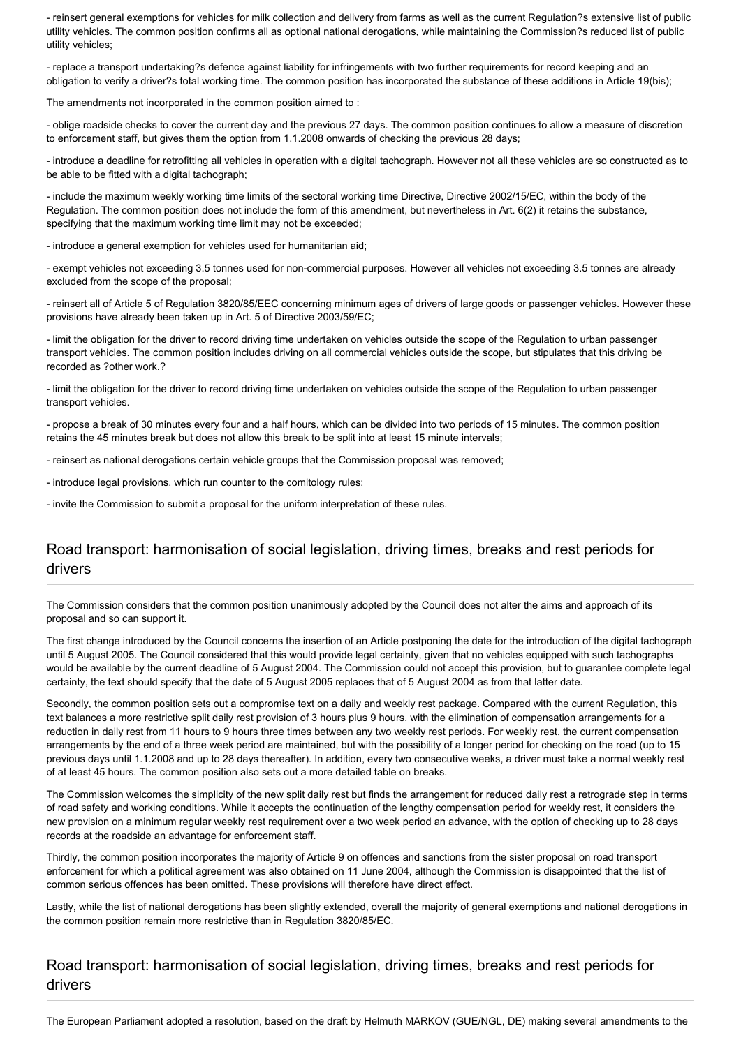- reinsert general exemptions for vehicles for milk collection and delivery from farms as well as the current Regulation?s extensive list of public utility vehicles. The common position confirms all as optional national derogations, while maintaining the Commission?s reduced list of public utility vehicles;

- replace a transport undertaking?s defence against liability for infringements with two further requirements for record keeping and an obligation to verify a driver?s total working time. The common position has incorporated the substance of these additions in Article 19(bis);

The amendments not incorporated in the common position aimed to :

- oblige roadside checks to cover the current day and the previous 27 days. The common position continues to allow a measure of discretion to enforcement staff, but gives them the option from 1.1.2008 onwards of checking the previous 28 days;

- introduce a deadline for retrofitting all vehicles in operation with a digital tachograph. However not all these vehicles are so constructed as to be able to be fitted with a digital tachograph;

- include the maximum weekly working time limits of the sectoral working time Directive, Directive 2002/15/EC, within the body of the Regulation. The common position does not include the form of this amendment, but nevertheless in Art. 6(2) it retains the substance, specifying that the maximum working time limit may not be exceeded;

- introduce a general exemption for vehicles used for humanitarian aid;

- exempt vehicles not exceeding 3.5 tonnes used for non-commercial purposes. However all vehicles not exceeding 3.5 tonnes are already excluded from the scope of the proposal;

- reinsert all of Article 5 of Regulation 3820/85/EEC concerning minimum ages of drivers of large goods or passenger vehicles. However these provisions have already been taken up in Art. 5 of Directive 2003/59/EC;

- limit the obligation for the driver to record driving time undertaken on vehicles outside the scope of the Regulation to urban passenger transport vehicles. The common position includes driving on all commercial vehicles outside the scope, but stipulates that this driving be recorded as ?other work.?

- limit the obligation for the driver to record driving time undertaken on vehicles outside the scope of the Regulation to urban passenger transport vehicles.

- propose a break of 30 minutes every four and a half hours, which can be divided into two periods of 15 minutes. The common position retains the 45 minutes break but does not allow this break to be split into at least 15 minute intervals;

- reinsert as national derogations certain vehicle groups that the Commission proposal was removed;

- introduce legal provisions, which run counter to the comitology rules;

- invite the Commission to submit a proposal for the uniform interpretation of these rules.

# Road transport: harmonisation of social legislation, driving times, breaks and rest periods for drivers

The Commission considers that the common position unanimously adopted by the Council does not alter the aims and approach of its proposal and so can support it.

The first change introduced by the Council concerns the insertion of an Article postponing the date for the introduction of the digital tachograph until 5 August 2005. The Council considered that this would provide legal certainty, given that no vehicles equipped with such tachographs would be available by the current deadline of 5 August 2004. The Commission could not accept this provision, but to guarantee complete legal certainty, the text should specify that the date of 5 August 2005 replaces that of 5 August 2004 as from that latter date.

Secondly, the common position sets out a compromise text on a daily and weekly rest package. Compared with the current Regulation, this text balances a more restrictive split daily rest provision of 3 hours plus 9 hours, with the elimination of compensation arrangements for a reduction in daily rest from 11 hours to 9 hours three times between any two weekly rest periods. For weekly rest, the current compensation arrangements by the end of a three week period are maintained, but with the possibility of a longer period for checking on the road (up to 15 previous days until 1.1.2008 and up to 28 days thereafter). In addition, every two consecutive weeks, a driver must take a normal weekly rest of at least 45 hours. The common position also sets out a more detailed table on breaks.

The Commission welcomes the simplicity of the new split daily rest but finds the arrangement for reduced daily rest a retrograde step in terms of road safety and working conditions. While it accepts the continuation of the lengthy compensation period for weekly rest, it considers the new provision on a minimum regular weekly rest requirement over a two week period an advance, with the option of checking up to 28 days records at the roadside an advantage for enforcement staff.

Thirdly, the common position incorporates the majority of Article 9 on offences and sanctions from the sister proposal on road transport enforcement for which a political agreement was also obtained on 11 June 2004, although the Commission is disappointed that the list of common serious offences has been omitted. These provisions will therefore have direct effect.

Lastly, while the list of national derogations has been slightly extended, overall the majority of general exemptions and national derogations in the common position remain more restrictive than in Regulation 3820/85/EC.

### Road transport: harmonisation of social legislation, driving times, breaks and rest periods for drivers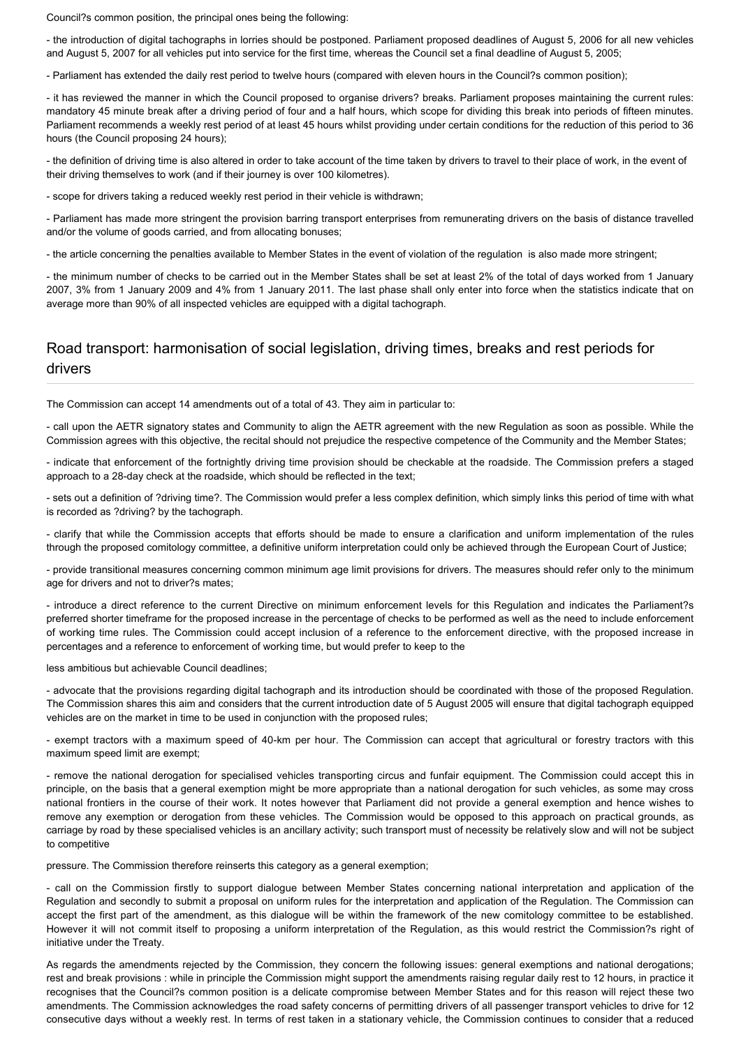Council?s common position, the principal ones being the following:

- the introduction of digital tachographs in lorries should be postponed. Parliament proposed deadlines of August 5, 2006 for all new vehicles and August 5, 2007 for all vehicles put into service for the first time, whereas the Council set a final deadline of August 5, 2005;

- Parliament has extended the daily rest period to twelve hours (compared with eleven hours in the Council?s common position);

- it has reviewed the manner in which the Council proposed to organise drivers? breaks. Parliament proposes maintaining the current rules: mandatory 45 minute break after a driving period of four and a half hours, which scope for dividing this break into periods of fifteen minutes. Parliament recommends a weekly rest period of at least 45 hours whilst providing under certain conditions for the reduction of this period to 36 hours (the Council proposing 24 hours);

- the definition of driving time is also altered in order to take account of the time taken by drivers to travel to their place of work, in the event of their driving themselves to work (and if their journey is over 100 kilometres).

- scope for drivers taking a reduced weekly rest period in their vehicle is withdrawn;

- Parliament has made more stringent the provision barring transport enterprises from remunerating drivers on the basis of distance travelled and/or the volume of goods carried, and from allocating bonuses;

- the article concerning the penalties available to Member States in the event of violation of the regulation is also made more stringent;

- the minimum number of checks to be carried out in the Member States shall be set at least 2% of the total of days worked from 1 January 2007, 3% from 1 January 2009 and 4% from 1 January 2011. The last phase shall only enter into force when the statistics indicate that on average more than 90% of all inspected vehicles are equipped with a digital tachograph.

### Road transport: harmonisation of social legislation, driving times, breaks and rest periods for drivers

The Commission can accept 14 amendments out of a total of 43. They aim in particular to:

- call upon the AETR signatory states and Community to align the AETR agreement with the new Regulation as soon as possible. While the Commission agrees with this objective, the recital should not prejudice the respective competence of the Community and the Member States;

- indicate that enforcement of the fortnightly driving time provision should be checkable at the roadside. The Commission prefers a staged approach to a 28-day check at the roadside, which should be reflected in the text;

- sets out a definition of ?driving time?. The Commission would prefer a less complex definition, which simply links this period of time with what is recorded as ?driving? by the tachograph.

- clarify that while the Commission accepts that efforts should be made to ensure a clarification and uniform implementation of the rules through the proposed comitology committee, a definitive uniform interpretation could only be achieved through the European Court of Justice;

- provide transitional measures concerning common minimum age limit provisions for drivers. The measures should refer only to the minimum age for drivers and not to driver?s mates;

- introduce a direct reference to the current Directive on minimum enforcement levels for this Regulation and indicates the Parliament?s preferred shorter timeframe for the proposed increase in the percentage of checks to be performed as well as the need to include enforcement of working time rules. The Commission could accept inclusion of a reference to the enforcement directive, with the proposed increase in percentages and a reference to enforcement of working time, but would prefer to keep to the

less ambitious but achievable Council deadlines;

- advocate that the provisions regarding digital tachograph and its introduction should be coordinated with those of the proposed Regulation. The Commission shares this aim and considers that the current introduction date of 5 August 2005 will ensure that digital tachograph equipped vehicles are on the market in time to be used in conjunction with the proposed rules;

- exempt tractors with a maximum speed of 40-km per hour. The Commission can accept that agricultural or forestry tractors with this maximum speed limit are exempt;

- remove the national derogation for specialised vehicles transporting circus and funfair equipment. The Commission could accept this in principle, on the basis that a general exemption might be more appropriate than a national derogation for such vehicles, as some may cross national frontiers in the course of their work. It notes however that Parliament did not provide a general exemption and hence wishes to remove any exemption or derogation from these vehicles. The Commission would be opposed to this approach on practical grounds, as carriage by road by these specialised vehicles is an ancillary activity; such transport must of necessity be relatively slow and will not be subject to competitive

pressure. The Commission therefore reinserts this category as a general exemption;

- call on the Commission firstly to support dialogue between Member States concerning national interpretation and application of the Regulation and secondly to submit a proposal on uniform rules for the interpretation and application of the Regulation. The Commission can accept the first part of the amendment, as this dialogue will be within the framework of the new comitology committee to be established. However it will not commit itself to proposing a uniform interpretation of the Regulation, as this would restrict the Commission?s right of initiative under the Treaty.

As regards the amendments rejected by the Commission, they concern the following issues: general exemptions and national derogations; rest and break provisions : while in principle the Commission might support the amendments raising regular daily rest to 12 hours, in practice it recognises that the Council?s common position is a delicate compromise between Member States and for this reason will reject these two amendments. The Commission acknowledges the road safety concerns of permitting drivers of all passenger transport vehicles to drive for 12 consecutive days without a weekly rest. In terms of rest taken in a stationary vehicle, the Commission continues to consider that a reduced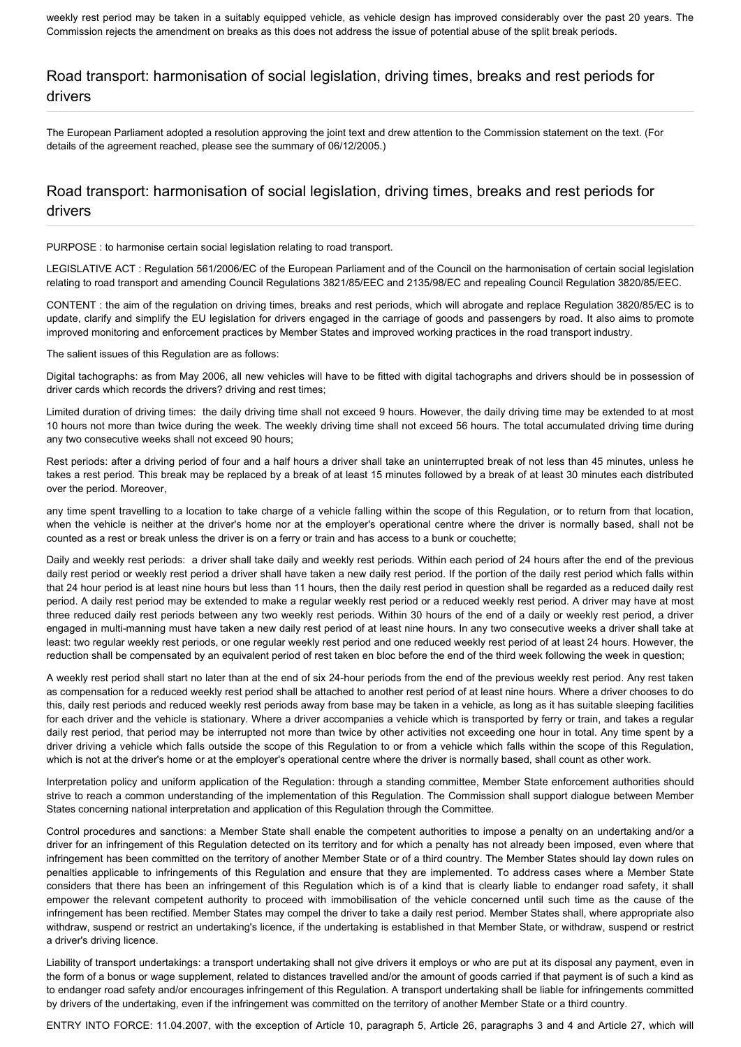weekly rest period may be taken in a suitably equipped vehicle, as vehicle design has improved considerably over the past 20 years. The Commission rejects the amendment on breaks as this does not address the issue of potential abuse of the split break periods.

### Road transport: harmonisation of social legislation, driving times, breaks and rest periods for drivers

The European Parliament adopted a resolution approving the joint text and drew attention to the Commission statement on the text. (For details of the agreement reached, please see the summary of 06/12/2005.)

### Road transport: harmonisation of social legislation, driving times, breaks and rest periods for drivers

PURPOSE : to harmonise certain social legislation relating to road transport.

LEGISLATIVE ACT : Regulation 561/2006/EC of the European Parliament and of the Council on the harmonisation of certain social legislation relating to road transport and amending Council Regulations 3821/85/EEC and 2135/98/EC and repealing Council Regulation 3820/85/EEC.

CONTENT : the aim of the regulation on driving times, breaks and rest periods, which will abrogate and replace Regulation 3820/85/EC is to update, clarify and simplify the EU legislation for drivers engaged in the carriage of goods and passengers by road. It also aims to promote improved monitoring and enforcement practices by Member States and improved working practices in the road transport industry.

The salient issues of this Regulation are as follows:

Digital tachographs: as from May 2006, all new vehicles will have to be fitted with digital tachographs and drivers should be in possession of driver cards which records the drivers? driving and rest times;

Limited duration of driving times: the daily driving time shall not exceed 9 hours. However, the daily driving time may be extended to at most 10 hours not more than twice during the week. The weekly driving time shall not exceed 56 hours. The total accumulated driving time during any two consecutive weeks shall not exceed 90 hours;

Rest periods: after a driving period of four and a half hours a driver shall take an uninterrupted break of not less than 45 minutes, unless he takes a rest period. This break may be replaced by a break of at least 15 minutes followed by a break of at least 30 minutes each distributed over the period. Moreover,

any time spent travelling to a location to take charge of a vehicle falling within the scope of this Regulation, or to return from that location, when the vehicle is neither at the driver's home nor at the employer's operational centre where the driver is normally based, shall not be counted as a rest or break unless the driver is on a ferry or train and has access to a bunk or couchette;

Daily and weekly rest periods: a driver shall take daily and weekly rest periods. Within each period of 24 hours after the end of the previous daily rest period or weekly rest period a driver shall have taken a new daily rest period. If the portion of the daily rest period which falls within that 24 hour period is at least nine hours but less than 11 hours, then the daily rest period in question shall be regarded as a reduced daily rest period. A daily rest period may be extended to make a regular weekly rest period or a reduced weekly rest period. A driver may have at most three reduced daily rest periods between any two weekly rest periods. Within 30 hours of the end of a daily or weekly rest period, a driver engaged in multi-manning must have taken a new daily rest period of at least nine hours. In any two consecutive weeks a driver shall take at least: two regular weekly rest periods, or one regular weekly rest period and one reduced weekly rest period of at least 24 hours. However, the reduction shall be compensated by an equivalent period of rest taken en bloc before the end of the third week following the week in question;

A weekly rest period shall start no later than at the end of six 24-hour periods from the end of the previous weekly rest period. Any rest taken as compensation for a reduced weekly rest period shall be attached to another rest period of at least nine hours. Where a driver chooses to do this, daily rest periods and reduced weekly rest periods away from base may be taken in a vehicle, as long as it has suitable sleeping facilities for each driver and the vehicle is stationary. Where a driver accompanies a vehicle which is transported by ferry or train, and takes a regular daily rest period, that period may be interrupted not more than twice by other activities not exceeding one hour in total. Any time spent by a driver driving a vehicle which falls outside the scope of this Regulation to or from a vehicle which falls within the scope of this Regulation, which is not at the driver's home or at the employer's operational centre where the driver is normally based, shall count as other work.

Interpretation policy and uniform application of the Regulation: through a standing committee, Member State enforcement authorities should strive to reach a common understanding of the implementation of this Regulation. The Commission shall support dialogue between Member States concerning national interpretation and application of this Regulation through the Committee.

Control procedures and sanctions: a Member State shall enable the competent authorities to impose a penalty on an undertaking and/or a driver for an infringement of this Regulation detected on its territory and for which a penalty has not already been imposed, even where that infringement has been committed on the territory of another Member State or of a third country. The Member States should lay down rules on penalties applicable to infringements of this Regulation and ensure that they are implemented. To address cases where a Member State considers that there has been an infringement of this Regulation which is of a kind that is clearly liable to endanger road safety, it shall empower the relevant competent authority to proceed with immobilisation of the vehicle concerned until such time as the cause of the infringement has been rectified. Member States may compel the driver to take a daily rest period. Member States shall, where appropriate also withdraw, suspend or restrict an undertaking's licence, if the undertaking is established in that Member State, or withdraw, suspend or restrict a driver's driving licence.

Liability of transport undertakings: a transport undertaking shall not give drivers it employs or who are put at its disposal any payment, even in the form of a bonus or wage supplement, related to distances travelled and/or the amount of goods carried if that payment is of such a kind as to endanger road safety and/or encourages infringement of this Regulation. A transport undertaking shall be liable for infringements committed by drivers of the undertaking, even if the infringement was committed on the territory of another Member State or a third country.

ENTRY INTO FORCE: 11.04.2007, with the exception of Article 10, paragraph 5, Article 26, paragraphs 3 and 4 and Article 27, which will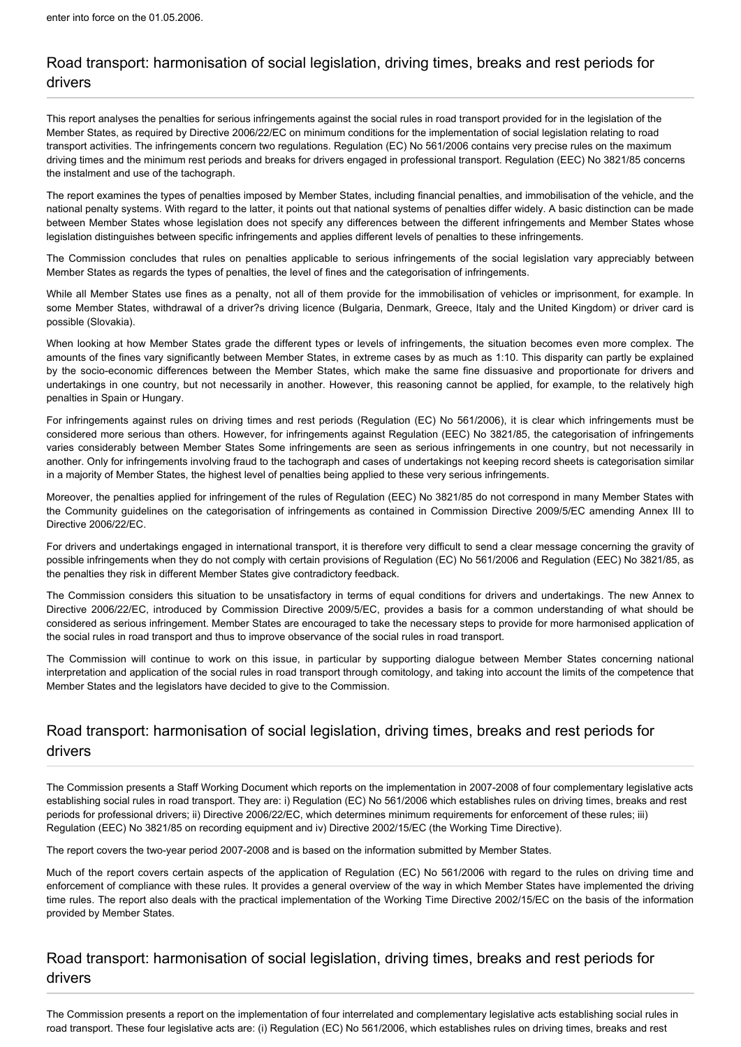# Road transport: harmonisation of social legislation, driving times, breaks and rest periods for drivers

This report analyses the penalties for serious infringements against the social rules in road transport provided for in the legislation of the Member States, as required by Directive 2006/22/EC on minimum conditions for the implementation of social legislation relating to road transport activities. The infringements concern two regulations. Regulation (EC) No 561/2006 contains very precise rules on the maximum driving times and the minimum rest periods and breaks for drivers engaged in professional transport. Regulation (EEC) No 3821/85 concerns the instalment and use of the tachograph.

The report examines the types of penalties imposed by Member States, including financial penalties, and immobilisation of the vehicle, and the national penalty systems. With regard to the latter, it points out that national systems of penalties differ widely. A basic distinction can be made between Member States whose legislation does not specify any differences between the different infringements and Member States whose legislation distinguishes between specific infringements and applies different levels of penalties to these infringements.

The Commission concludes that rules on penalties applicable to serious infringements of the social legislation vary appreciably between Member States as regards the types of penalties, the level of fines and the categorisation of infringements.

While all Member States use fines as a penalty, not all of them provide for the immobilisation of vehicles or imprisonment, for example. In some Member States, withdrawal of a driver?s driving licence (Bulgaria, Denmark, Greece, Italy and the United Kingdom) or driver card is possible (Slovakia).

When looking at how Member States grade the different types or levels of infringements, the situation becomes even more complex. The amounts of the fines vary significantly between Member States, in extreme cases by as much as 1:10. This disparity can partly be explained by the socio-economic differences between the Member States, which make the same fine dissuasive and proportionate for drivers and undertakings in one country, but not necessarily in another. However, this reasoning cannot be applied, for example, to the relatively high penalties in Spain or Hungary.

For infringements against rules on driving times and rest periods (Regulation (EC) No 561/2006), it is clear which infringements must be considered more serious than others. However, for infringements against Regulation (EEC) No 3821/85, the categorisation of infringements varies considerably between Member States Some infringements are seen as serious infringements in one country, but not necessarily in another. Only for infringements involving fraud to the tachograph and cases of undertakings not keeping record sheets is categorisation similar in a majority of Member States, the highest level of penalties being applied to these very serious infringements.

Moreover, the penalties applied for infringement of the rules of Regulation (EEC) No 3821/85 do not correspond in many Member States with the Community guidelines on the categorisation of infringements as contained in Commission Directive 2009/5/EC amending Annex III to Directive 2006/22/EC.

For drivers and undertakings engaged in international transport, it is therefore very difficult to send a clear message concerning the gravity of possible infringements when they do not comply with certain provisions of Regulation (EC) No 561/2006 and Regulation (EEC) No 3821/85, as the penalties they risk in different Member States give contradictory feedback.

The Commission considers this situation to be unsatisfactory in terms of equal conditions for drivers and undertakings. The new Annex to Directive 2006/22/EC, introduced by Commission Directive 2009/5/EC, provides a basis for a common understanding of what should be considered as serious infringement. Member States are encouraged to take the necessary steps to provide for more harmonised application of the social rules in road transport and thus to improve observance of the social rules in road transport.

The Commission will continue to work on this issue, in particular by supporting dialogue between Member States concerning national interpretation and application of the social rules in road transport through comitology, and taking into account the limits of the competence that Member States and the legislators have decided to give to the Commission.

# Road transport: harmonisation of social legislation, driving times, breaks and rest periods for drivers

The Commission presents a Staff Working Document which reports on the implementation in 2007-2008 of four complementary legislative acts establishing social rules in road transport. They are: i) Regulation (EC) No 561/2006 which establishes rules on driving times, breaks and rest periods for professional drivers; ii) Directive 2006/22/EC, which determines minimum requirements for enforcement of these rules; iii) Regulation (EEC) No 3821/85 on recording equipment and iv) Directive 2002/15/EC (the Working Time Directive).

The report covers the two-year period 2007-2008 and is based on the information submitted by Member States.

Much of the report covers certain aspects of the application of Regulation (EC) No 561/2006 with regard to the rules on driving time and enforcement of compliance with these rules. It provides a general overview of the way in which Member States have implemented the driving time rules. The report also deals with the practical implementation of the Working Time Directive 2002/15/EC on the basis of the information provided by Member States.

# Road transport: harmonisation of social legislation, driving times, breaks and rest periods for drivers

The Commission presents a report on the implementation of four interrelated and complementary legislative acts establishing social rules in road transport. These four legislative acts are: (i) Regulation (EC) No 561/2006, which establishes rules on driving times, breaks and rest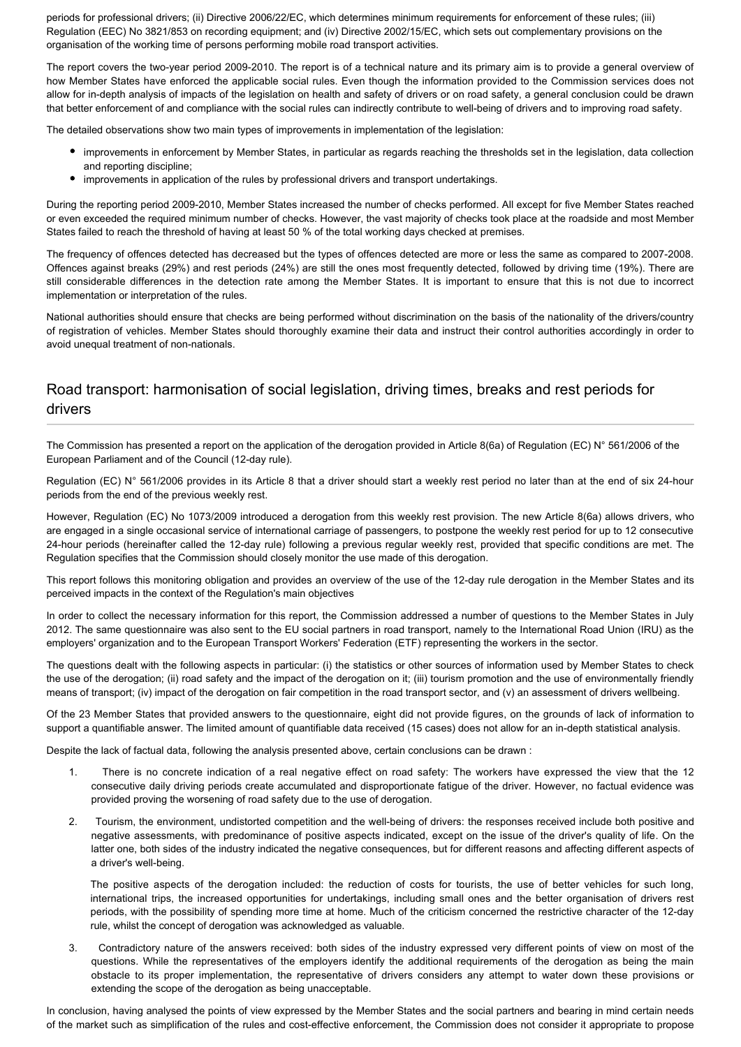periods for professional drivers; (ii) Directive 2006/22/EC, which determines minimum requirements for enforcement of these rules; (iii) Regulation (EEC) No 3821/853 on recording equipment; and (iv) Directive 2002/15/EC, which sets out complementary provisions on the organisation of the working time of persons performing mobile road transport activities.

The report covers the two-year period 2009-2010. The report is of a technical nature and its primary aim is to provide a general overview of how Member States have enforced the applicable social rules. Even though the information provided to the Commission services does not allow for in-depth analysis of impacts of the legislation on health and safety of drivers or on road safety, a general conclusion could be drawn that better enforcement of and compliance with the social rules can indirectly contribute to well-being of drivers and to improving road safety.

The detailed observations show two main types of improvements in implementation of the legislation:

- improvements in enforcement by Member States, in particular as regards reaching the thresholds set in the legislation, data collection and reporting discipline;
- improvements in application of the rules by professional drivers and transport undertakings.

During the reporting period 2009-2010, Member States increased the number of checks performed. All except for five Member States reached or even exceeded the required minimum number of checks. However, the vast majority of checks took place at the roadside and most Member States failed to reach the threshold of having at least 50 % of the total working days checked at premises.

The frequency of offences detected has decreased but the types of offences detected are more or less the same as compared to 2007-2008. Offences against breaks (29%) and rest periods (24%) are still the ones most frequently detected, followed by driving time (19%). There are still considerable differences in the detection rate among the Member States. It is important to ensure that this is not due to incorrect implementation or interpretation of the rules.

National authorities should ensure that checks are being performed without discrimination on the basis of the nationality of the drivers/country of registration of vehicles. Member States should thoroughly examine their data and instruct their control authorities accordingly in order to avoid unequal treatment of non-nationals.

## Road transport: harmonisation of social legislation, driving times, breaks and rest periods for drivers

The Commission has presented a report on the application of the derogation provided in Article 8(6a) of Regulation (EC) N° 561/2006 of the European Parliament and of the Council (12-day rule).

Regulation (EC) N° 561/2006 provides in its Article 8 that a driver should start a weekly rest period no later than at the end of six 24-hour periods from the end of the previous weekly rest.

However, Regulation (EC) No 1073/2009 introduced a derogation from this weekly rest provision. The new Article 8(6a) allows drivers, who are engaged in a single occasional service of international carriage of passengers, to postpone the weekly rest period for up to 12 consecutive 24-hour periods (hereinafter called the 12-day rule) following a previous regular weekly rest, provided that specific conditions are met. The Regulation specifies that the Commission should closely monitor the use made of this derogation.

This report follows this monitoring obligation and provides an overview of the use of the 12-day rule derogation in the Member States and its perceived impacts in the context of the Regulation's main objectives

In order to collect the necessary information for this report, the Commission addressed a number of questions to the Member States in July 2012. The same questionnaire was also sent to the EU social partners in road transport, namely to the International Road Union (IRU) as the employers' organization and to the European Transport Workers' Federation (ETF) representing the workers in the sector.

The questions dealt with the following aspects in particular: (i) the statistics or other sources of information used by Member States to check the use of the derogation; (ii) road safety and the impact of the derogation on it; (iii) tourism promotion and the use of environmentally friendly means of transport; (iv) impact of the derogation on fair competition in the road transport sector, and (v) an assessment of drivers wellbeing.

Of the 23 Member States that provided answers to the questionnaire, eight did not provide figures, on the grounds of lack of information to support a quantifiable answer. The limited amount of quantifiable data received (15 cases) does not allow for an in-depth statistical analysis.

Despite the lack of factual data, following the analysis presented above, certain conclusions can be drawn :

- 1. There is no concrete indication of a real negative effect on road safety: The workers have expressed the view that the 12 consecutive daily driving periods create accumulated and disproportionate fatigue of the driver. However, no factual evidence was provided proving the worsening of road safety due to the use of derogation.
- 2. Tourism, the environment, undistorted competition and the well-being of drivers: the responses received include both positive and negative assessments, with predominance of positive aspects indicated, except on the issue of the driver's quality of life. On the latter one, both sides of the industry indicated the negative consequences, but for different reasons and affecting different aspects of a driver's well-being.

The positive aspects of the derogation included: the reduction of costs for tourists, the use of better vehicles for such long, international trips, the increased opportunities for undertakings, including small ones and the better organisation of drivers rest periods, with the possibility of spending more time at home. Much of the criticism concerned the restrictive character of the 12-day rule, whilst the concept of derogation was acknowledged as valuable.

3. Contradictory nature of the answers received: both sides of the industry expressed very different points of view on most of the questions. While the representatives of the employers identify the additional requirements of the derogation as being the main obstacle to its proper implementation, the representative of drivers considers any attempt to water down these provisions or extending the scope of the derogation as being unacceptable.

In conclusion, having analysed the points of view expressed by the Member States and the social partners and bearing in mind certain needs of the market such as simplification of the rules and cost-effective enforcement, the Commission does not consider it appropriate to propose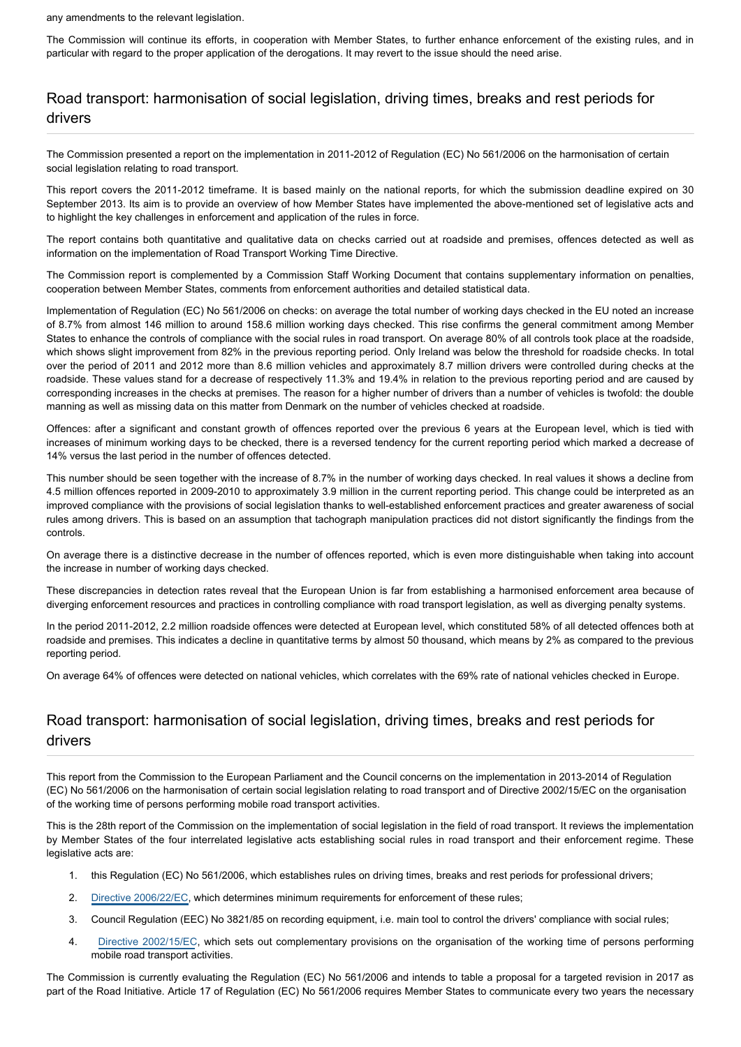any amendments to the relevant legislation.

The Commission will continue its efforts, in cooperation with Member States, to further enhance enforcement of the existing rules, and in particular with regard to the proper application of the derogations. It may revert to the issue should the need arise.

# Road transport: harmonisation of social legislation, driving times, breaks and rest periods for drivers

The Commission presented a report on the implementation in 2011-2012 of Regulation (EC) No 561/2006 on the harmonisation of certain social legislation relating to road transport.

This report covers the 2011-2012 timeframe. It is based mainly on the national reports, for which the submission deadline expired on 30 September 2013. Its aim is to provide an overview of how Member States have implemented the above-mentioned set of legislative acts and to highlight the key challenges in enforcement and application of the rules in force.

The report contains both quantitative and qualitative data on checks carried out at roadside and premises, offences detected as well as information on the implementation of Road Transport Working Time Directive.

The Commission report is complemented by a Commission Staff Working Document that contains supplementary information on penalties, cooperation between Member States, comments from enforcement authorities and detailed statistical data.

Implementation of Regulation (EC) No 561/2006 on checks: on average the total number of working days checked in the EU noted an increase of 8.7% from almost 146 million to around 158.6 million working days checked. This rise confirms the general commitment among Member States to enhance the controls of compliance with the social rules in road transport. On average 80% of all controls took place at the roadside, which shows slight improvement from 82% in the previous reporting period. Only Ireland was below the threshold for roadside checks. In total over the period of 2011 and 2012 more than 8.6 million vehicles and approximately 8.7 million drivers were controlled during checks at the roadside. These values stand for a decrease of respectively 11.3% and 19.4% in relation to the previous reporting period and are caused by corresponding increases in the checks at premises. The reason for a higher number of drivers than a number of vehicles is twofold: the double manning as well as missing data on this matter from Denmark on the number of vehicles checked at roadside.

Offences: after a significant and constant growth of offences reported over the previous 6 years at the European level, which is tied with increases of minimum working days to be checked, there is a reversed tendency for the current reporting period which marked a decrease of 14% versus the last period in the number of offences detected.

This number should be seen together with the increase of 8.7% in the number of working days checked. In real values it shows a decline from 4.5 million offences reported in 2009-2010 to approximately 3.9 million in the current reporting period. This change could be interpreted as an improved compliance with the provisions of social legislation thanks to well-established enforcement practices and greater awareness of social rules among drivers. This is based on an assumption that tachograph manipulation practices did not distort significantly the findings from the controls.

On average there is a distinctive decrease in the number of offences reported, which is even more distinguishable when taking into account the increase in number of working days checked.

These discrepancies in detection rates reveal that the European Union is far from establishing a harmonised enforcement area because of diverging enforcement resources and practices in controlling compliance with road transport legislation, as well as diverging penalty systems.

In the period 2011-2012, 2.2 million roadside offences were detected at European level, which constituted 58% of all detected offences both at roadside and premises. This indicates a decline in quantitative terms by almost 50 thousand, which means by 2% as compared to the previous reporting period.

On average 64% of offences were detected on national vehicles, which correlates with the 69% rate of national vehicles checked in Europe.

# Road transport: harmonisation of social legislation, driving times, breaks and rest periods for drivers

This report from the Commission to the European Parliament and the Council concerns on the implementation in 2013-2014 of Regulation (EC) No 561/2006 on the harmonisation of certain social legislation relating to road transport and of Directive 2002/15/EC on the organisation of the working time of persons performing mobile road transport activities.

This is the 28th report of the Commission on the implementation of social legislation in the field of road transport. It reviews the implementation by Member States of the four interrelated legislative acts establishing social rules in road transport and their enforcement regime. These legislative acts are:

- 1. this Regulation (EC) No 561/2006, which establishes rules on driving times, breaks and rest periods for professional drivers;
- 2. [Directive 2006/22/EC](http://www.europarl.europa.eu/oeil/popups/ficheprocedure.do?reference=2003/0255(COD)), which determines minimum requirements for enforcement of these rules;
- 3. Council Regulation (EEC) No 3821/85 on recording equipment, i.e. main tool to control the drivers' compliance with social rules;
- 4. [Directive 2002/15/EC](http://www.europarl.europa.eu/oeil/popups/ficheprocedure.do?reference=1998/0319(COD)), which sets out complementary provisions on the organisation of the working time of persons performing mobile road transport activities.

The Commission is currently evaluating the Regulation (EC) No 561/2006 and intends to table a proposal for a targeted revision in 2017 as part of the Road Initiative. Article 17 of Regulation (EC) No 561/2006 requires Member States to communicate every two years the necessary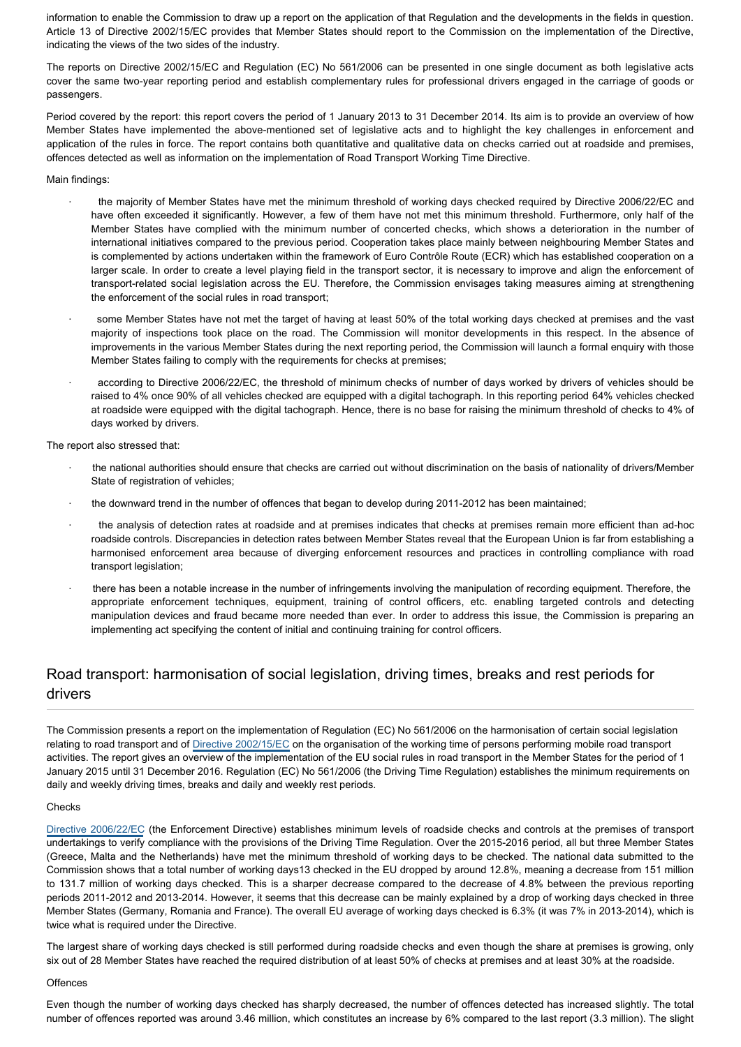information to enable the Commission to draw up a report on the application of that Regulation and the developments in the fields in question. Article 13 of Directive 2002/15/EC provides that Member States should report to the Commission on the implementation of the Directive, indicating the views of the two sides of the industry.

The reports on Directive 2002/15/EC and Regulation (EC) No 561/2006 can be presented in one single document as both legislative acts cover the same two-year reporting period and establish complementary rules for professional drivers engaged in the carriage of goods or passengers.

Period covered by the report: this report covers the period of 1 January 2013 to 31 December 2014. Its aim is to provide an overview of how Member States have implemented the above-mentioned set of legislative acts and to highlight the key challenges in enforcement and application of the rules in force. The report contains both quantitative and qualitative data on checks carried out at roadside and premises, offences detected as well as information on the implementation of Road Transport Working Time Directive.

### Main findings:

- the majority of Member States have met the minimum threshold of working days checked required by Directive 2006/22/EC and have often exceeded it significantly. However, a few of them have not met this minimum threshold. Furthermore, only half of the Member States have complied with the minimum number of concerted checks, which shows a deterioration in the number of international initiatives compared to the previous period. Cooperation takes place mainly between neighbouring Member States and is complemented by actions undertaken within the framework of Euro Contrôle Route (ECR) which has established cooperation on a larger scale. In order to create a level playing field in the transport sector, it is necessary to improve and align the enforcement of transport-related social legislation across the EU. Therefore, the Commission envisages taking measures aiming at strengthening the enforcement of the social rules in road transport;
- some Member States have not met the target of having at least 50% of the total working days checked at premises and the vast majority of inspections took place on the road. The Commission will monitor developments in this respect. In the absence of improvements in the various Member States during the next reporting period, the Commission will launch a formal enquiry with those Member States failing to comply with the requirements for checks at premises;
- according to Directive 2006/22/EC, the threshold of minimum checks of number of days worked by drivers of vehicles should be raised to 4% once 90% of all vehicles checked are equipped with a digital tachograph. In this reporting period 64% vehicles checked at roadside were equipped with the digital tachograph. Hence, there is no base for raising the minimum threshold of checks to 4% of days worked by drivers.

The report also stressed that:

- the national authorities should ensure that checks are carried out without discrimination on the basis of nationality of drivers/Member State of registration of vehicles;
- the downward trend in the number of offences that began to develop during 2011-2012 has been maintained;
- · the analysis of detection rates at roadside and at premises indicates that checks at premises remain more efficient than ad-hoc roadside controls. Discrepancies in detection rates between Member States reveal that the European Union is far from establishing a harmonised enforcement area because of diverging enforcement resources and practices in controlling compliance with road transport legislation:
- · there has been a notable increase in the number of infringements involving the manipulation of recording equipment. Therefore, the appropriate enforcement techniques, equipment, training of control officers, etc. enabling targeted controls and detecting manipulation devices and fraud became more needed than ever. In order to address this issue, the Commission is preparing an implementing act specifying the content of initial and continuing training for control officers.

# Road transport: harmonisation of social legislation, driving times, breaks and rest periods for drivers

The Commission presents a report on the implementation of Regulation (EC) No 561/2006 on the harmonisation of certain social legislation relating to road transport and of [Directive 2002/15/EC](https://oeil.secure.europarl.europa.eu/oeil/popups/ficheprocedure.do?lang=en&reference=1998/0319(COD)) on the organisation of the working time of persons performing mobile road transport activities. The report gives an overview of the implementation of the EU social rules in road transport in the Member States for the period of 1 January 2015 until 31 December 2016. Regulation (EC) No 561/2006 (the Driving Time Regulation) establishes the minimum requirements on daily and weekly driving times, breaks and daily and weekly rest periods.

#### Checks

[Directive 2006/22/EC](http://eur-lex.europa.eu/legal-content/EN/TXT/?uri=celex:32009L0005) (the Enforcement Directive) establishes minimum levels of roadside checks and controls at the premises of transport undertakings to verify compliance with the provisions of the Driving Time Regulation. Over the 2015-2016 period, all but three Member States (Greece, Malta and the Netherlands) have met the minimum threshold of working days to be checked. The national data submitted to the Commission shows that a total number of working days13 checked in the EU dropped by around 12.8%, meaning a decrease from 151 million to 131.7 million of working days checked. This is a sharper decrease compared to the decrease of 4.8% between the previous reporting periods 2011-2012 and 2013-2014. However, it seems that this decrease can be mainly explained by a drop of working days checked in three Member States (Germany, Romania and France). The overall EU average of working days checked is 6.3% (it was 7% in 2013-2014), which is twice what is required under the Directive.

The largest share of working days checked is still performed during roadside checks and even though the share at premises is growing, only six out of 28 Member States have reached the required distribution of at least 50% of checks at premises and at least 30% at the roadside.

#### **Offences**

Even though the number of working days checked has sharply decreased, the number of offences detected has increased slightly. The total number of offences reported was around 3.46 million, which constitutes an increase by 6% compared to the last report (3.3 million). The slight